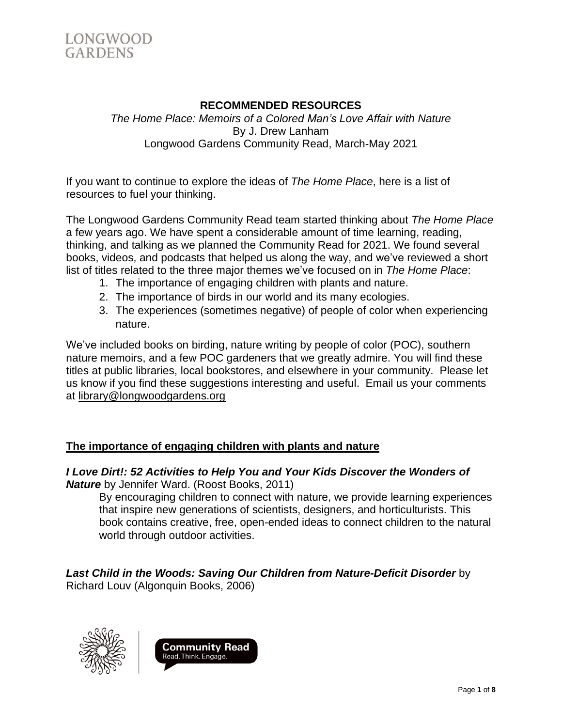

### **RECOMMENDED RESOURCES**

*The Home Place: Memoirs of a Colored Man's Love Affair with Nature* By J. Drew Lanham Longwood Gardens Community Read, March-May 2021

If you want to continue to explore the ideas of *The Home Place*, here is a list of resources to fuel your thinking.

The Longwood Gardens Community Read team started thinking about *The Home Place* a few years ago. We have spent a considerable amount of time learning, reading, thinking, and talking as we planned the Community Read for 2021. We found several books, videos, and podcasts that helped us along the way, and we've reviewed a short list of titles related to the three major themes we've focused on in *The Home Place*:

- 1. The importance of engaging children with plants and nature.
- 2. The importance of birds in our world and its many ecologies.
- 3. The experiences (sometimes negative) of people of color when experiencing nature.

We've included books on birding, nature writing by people of color (POC), southern nature memoirs, and a few POC gardeners that we greatly admire. You will find these titles at public libraries, local bookstores, and elsewhere in your community. Please let us know if you find these suggestions interesting and useful. Email us your comments at [library@longwoodgardens.org](mailto:library@longwoodgardens.org)

### **The importance of engaging children with plants and nature**

### *I Love Dirt!: 52 Activities to Help You and Your Kids Discover the Wonders of Nature* by Jennifer Ward. (Roost Books, 2011)

By encouraging children to connect with nature, we provide learning experiences that inspire new generations of scientists, designers, and horticulturists. This book contains creative, free, open-ended ideas to connect children to the natural world through outdoor activities.

*Last Child in the Woods: Saving Our Children from Nature-Deficit Disorder* by Richard Louv (Algonquin Books, 2006)



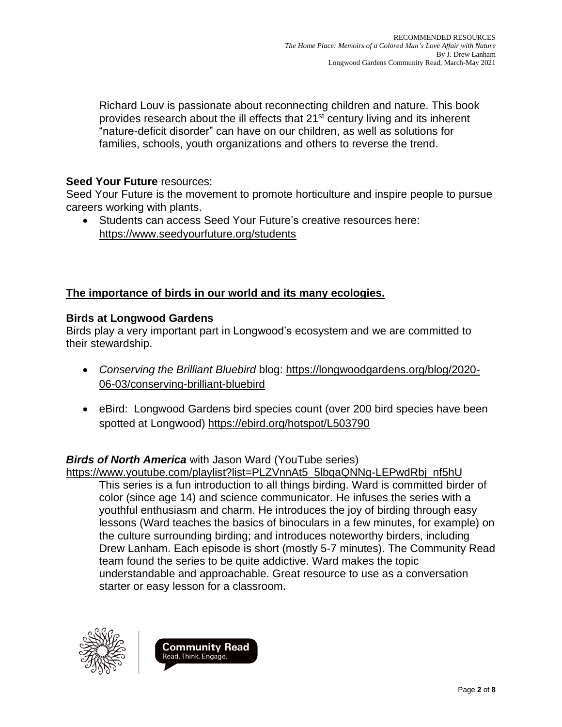Richard Louv is passionate about reconnecting children and nature. This book provides research about the ill effects that 21<sup>st</sup> century living and its inherent "nature-deficit disorder" can have on our children, as well as solutions for families, schools, youth organizations and others to reverse the trend.

## **Seed Your Future** resources:

Seed Your Future is the movement to promote horticulture and inspire people to pursue careers working with plants.

• Students can access Seed Your Future's creative resources here: <https://www.seedyourfuture.org/students>

# **The importance of birds in our world and its many ecologies.**

### **Birds at Longwood Gardens**

Birds play a very important part in Longwood's ecosystem and we are committed to their stewardship.

- *Conserving the Brilliant Bluebird* blog: [https://longwoodgardens.org/blog/2020-](https://longwoodgardens.org/blog/2020-06-03/conserving-brilliant-bluebird) [06-03/conserving-brilliant-bluebird](https://longwoodgardens.org/blog/2020-06-03/conserving-brilliant-bluebird)
- eBird: Longwood Gardens bird species count (over 200 bird species have been spotted at Longwood) <https://ebird.org/hotspot/L503790>

# *Birds of North America* with Jason Ward (YouTube series)

[https://www.youtube.com/playlist?list=PLZVnnAt5\\_5lbqaQNNg-LEPwdRbj\\_nf5hU](https://www.youtube.com/playlist?list=PLZVnnAt5_5lbqaQNNg-LEPwdRbj_nf5hU)

This series is a fun introduction to all things birding. Ward is committed birder of color (since age 14) and science communicator. He infuses the series with a youthful enthusiasm and charm. He introduces the joy of birding through easy lessons (Ward teaches the basics of binoculars in a few minutes, for example) on the culture surrounding birding; and introduces noteworthy birders, including Drew Lanham. Each episode is short (mostly 5-7 minutes). The Community Read team found the series to be quite addictive. Ward makes the topic understandable and approachable. Great resource to use as a conversation starter or easy lesson for a classroom.



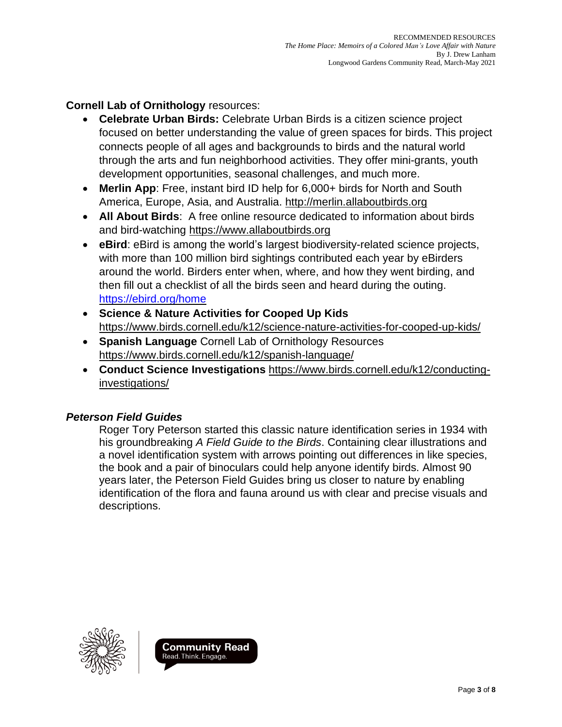**Cornell Lab of Ornithology** resources:

- **Celebrate Urban Birds:** Celebrate Urban Birds is a citizen science project focused on better understanding the value of green spaces for birds. This project connects people of all ages and backgrounds to birds and the natural world through the arts and fun neighborhood activities. They offer mini-grants, youth development opportunities, seasonal challenges, and much more.
- **Merlin App**: Free, instant bird ID help for 6,000+ birds for North and South America, Europe, Asia, and Australia. [http://merlin.allaboutbirds.org](http://merlin.allaboutbirds.org/)
- **All About Birds**: A free online resource dedicated to information about birds and bird-watching [https://www.allaboutbirds.org](https://www.allaboutbirds.org/)
- **eBird**: eBird is among the world's largest biodiversity-related science projects, with more than 100 million bird sightings contributed each year by eBirders around the world. Birders enter when, where, and how they went birding, and then fill out a checklist of all the birds seen and heard during the outing. <https://ebird.org/home>
- **Science & Nature Activities for Cooped Up Kids** <https://www.birds.cornell.edu/k12/science-nature-activities-for-cooped-up-kids/>
- **Spanish Language** Cornell Lab of Ornithology Resources <https://www.birds.cornell.edu/k12/spanish-language/>
- **Conduct Science Investigations** [https://www.birds.cornell.edu/k12/conducting](https://www.birds.cornell.edu/k12/conducting-investigations/)[investigations/](https://www.birds.cornell.edu/k12/conducting-investigations/)

# *Peterson Field Guides*

Roger Tory Peterson started this classic nature identification series in 1934 with his groundbreaking *A Field Guide to the Birds*. Containing clear illustrations and a novel identification system with arrows pointing out differences in like species, the book and a pair of binoculars could help anyone identify birds. Almost 90 years later, the Peterson Field Guides bring us closer to nature by enabling identification of the flora and fauna around us with clear and precise visuals and descriptions.



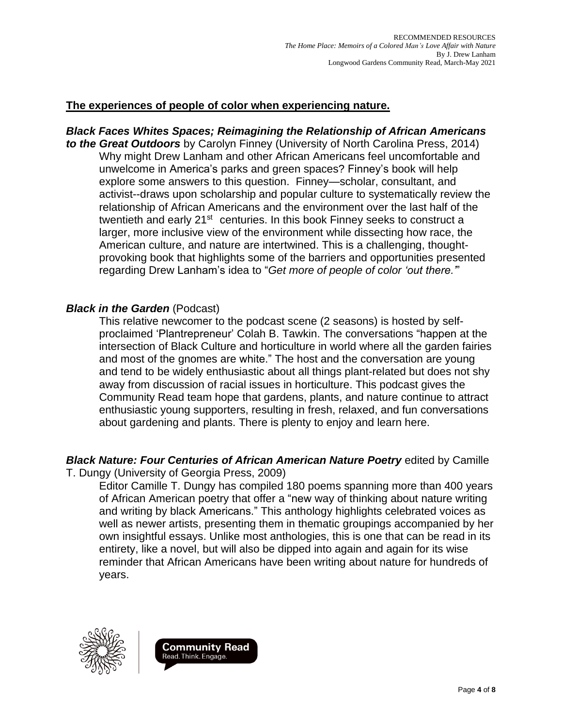## **The experiences of people of color when experiencing nature.**

# *Black Faces Whites Spaces; Reimagining the Relationship of African Americans*

*to the Great Outdoors* by Carolyn Finney (University of North Carolina Press, 2014) Why might Drew Lanham and other African Americans feel uncomfortable and unwelcome in America's parks and green spaces? Finney's book will help explore some answers to this question. Finney—scholar, consultant, and activist--draws upon scholarship and popular culture to systematically review the relationship of African Americans and the environment over the last half of the twentieth and early 21<sup>st</sup> centuries. In this book Finney seeks to construct a larger, more inclusive view of the environment while dissecting how race, the American culture, and nature are intertwined. This is a challenging, thoughtprovoking book that highlights some of the barriers and opportunities presented regarding Drew Lanham's idea to "*Get more of people of color 'out there.'*"

### *Black in the Garden* (Podcast)

This relative newcomer to the podcast scene (2 seasons) is hosted by selfproclaimed 'Plantrepreneur' Colah B. Tawkin. The conversations "happen at the intersection of Black Culture and horticulture in world where all the garden fairies and most of the gnomes are white." The host and the conversation are young and tend to be widely enthusiastic about all things plant-related but does not shy away from discussion of racial issues in horticulture. This podcast gives the Community Read team hope that gardens, plants, and nature continue to attract enthusiastic young supporters, resulting in fresh, relaxed, and fun conversations about gardening and plants. There is plenty to enjoy and learn here.

#### *Black Nature: Four Centuries of African American Nature Poetry* edited by Camille T. Dungy (University of Georgia Press, 2009)

Editor Camille T. Dungy has compiled 180 poems spanning more than 400 years of African American poetry that offer a "new way of thinking about nature writing and writing by black Americans." This anthology highlights celebrated voices as well as newer artists, presenting them in thematic groupings accompanied by her own insightful essays. Unlike most anthologies, this is one that can be read in its entirety, like a novel, but will also be dipped into again and again for its wise reminder that African Americans have been writing about nature for hundreds of years.



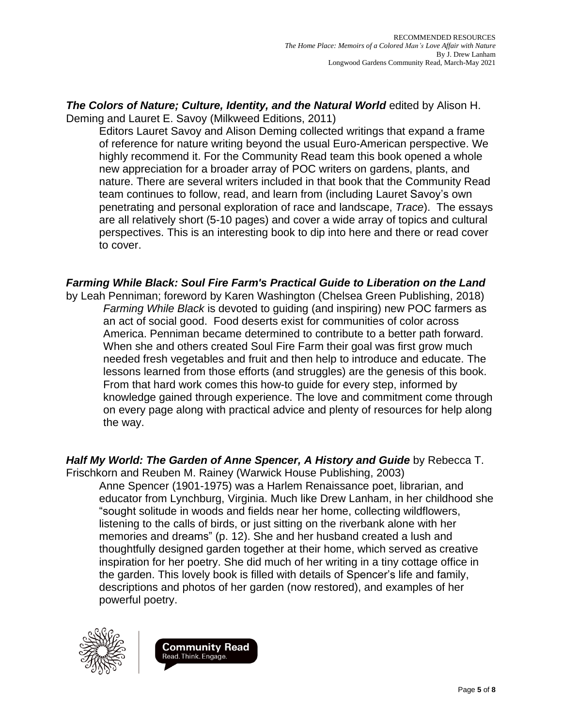*The Colors of Nature; Culture, Identity, and the Natural World* edited by Alison H. Deming and Lauret E. Savoy (Milkweed Editions, 2011)

Editors Lauret Savoy and Alison Deming collected writings that expand a frame of reference for nature writing beyond the usual Euro-American perspective. We highly recommend it. For the Community Read team this book opened a whole new appreciation for a broader array of POC writers on gardens, plants, and nature. There are several writers included in that book that the Community Read team continues to follow, read, and learn from (including Lauret Savoy's own penetrating and personal exploration of race and landscape, *Trace*). The essays are all relatively short (5-10 pages) and cover a wide array of topics and cultural perspectives. This is an interesting book to dip into here and there or read cover to cover.

*Farming While Black: Soul Fire Farm's Practical Guide to Liberation on the Land*

by Leah Penniman; foreword by Karen Washington (Chelsea Green Publishing, 2018) *Farming While Black* is devoted to guiding (and inspiring) new POC farmers as an act of social good. Food deserts exist for communities of color across America. Penniman became determined to contribute to a better path forward. When she and others created Soul Fire Farm their goal was first grow much needed fresh vegetables and fruit and then help to introduce and educate. The lessons learned from those efforts (and struggles) are the genesis of this book. From that hard work comes this how-to guide for every step, informed by knowledge gained through experience. The love and commitment come through on every page along with practical advice and plenty of resources for help along the way.

*Half My World: The Garden of Anne Spencer, A History and Guide* by Rebecca T. Frischkorn and Reuben M. Rainey (Warwick House Publishing, 2003) Anne Spencer (1901-1975) was a Harlem Renaissance poet, librarian, and educator from Lynchburg, Virginia. Much like Drew Lanham, in her childhood she "sought solitude in woods and fields near her home, collecting wildflowers, listening to the calls of birds, or just sitting on the riverbank alone with her memories and dreams" (p. 12). She and her husband created a lush and thoughtfully designed garden together at their home, which served as creative inspiration for her poetry. She did much of her writing in a tiny cottage office in the garden. This lovely book is filled with details of Spencer's life and family, descriptions and photos of her garden (now restored), and examples of her powerful poetry.



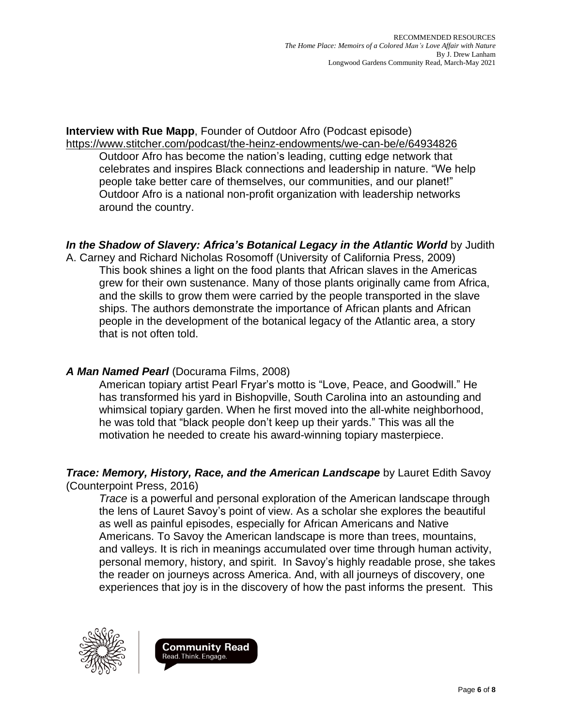**Interview with Rue Mapp**, Founder of Outdoor Afro (Podcast episode) <https://www.stitcher.com/podcast/the-heinz-endowments/we-can-be/e/64934826>

Outdoor Afro has become the nation's leading, cutting edge network that celebrates and inspires Black connections and leadership in nature. "We help people take better care of themselves, our communities, and our planet!" Outdoor Afro is a national non-profit organization with leadership networks around the country.

*In the Shadow of Slavery: Africa's Botanical Legacy in the Atlantic World* by Judith

A. Carney and Richard Nicholas Rosomoff (University of California Press, 2009) This book shines a light on the food plants that African slaves in the Americas grew for their own sustenance. Many of those plants originally came from Africa, and the skills to grow them were carried by the people transported in the slave ships. The authors demonstrate the importance of African plants and African people in the development of the botanical legacy of the Atlantic area, a story that is not often told.

# *A Man Named Pearl* (Docurama Films, 2008)

American topiary artist Pearl Fryar's motto is "Love, Peace, and Goodwill." He has transformed his yard in Bishopville, South Carolina into an astounding and whimsical topiary garden. When he first moved into the all-white neighborhood, he was told that "black people don't keep up their yards." This was all the motivation he needed to create his award-winning topiary masterpiece.

*Trace: Memory, History, Race, and the American Landscape* by Lauret Edith Savoy (Counterpoint Press, 2016)

*Trace* is a powerful and personal exploration of the American landscape through the lens of Lauret Savoy's point of view. As a scholar she explores the beautiful as well as painful episodes, especially for African Americans and Native Americans. To Savoy the American landscape is more than trees, mountains, and valleys. It is rich in meanings accumulated over time through human activity, personal memory, history, and spirit. In Savoy's highly readable prose, she takes the reader on journeys across America. And, with all journeys of discovery, one experiences that joy is in the discovery of how the past informs the present. This



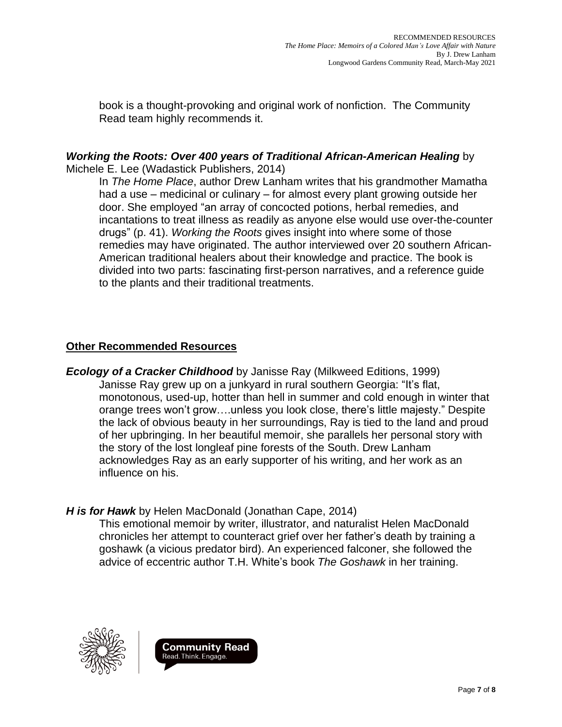book is a thought-provoking and original work of nonfiction. The Community Read team highly recommends it.

### *Working the Roots: Over 400 years of Traditional African-American Healing* by Michele E. Lee (Wadastick Publishers, 2014)

In *The Home Place*, author Drew Lanham writes that his grandmother Mamatha had a use – medicinal or culinary – for almost every plant growing outside her door. She employed "an array of concocted potions, herbal remedies, and incantations to treat illness as readily as anyone else would use over-the-counter drugs" (p. 41). *Working the Roots* gives insight into where some of those remedies may have originated. The author interviewed over 20 southern African-American traditional healers about their knowledge and practice. The book is divided into two parts: fascinating first-person narratives, and a reference guide to the plants and their traditional treatments.

# **Other Recommended Resources**

*Ecology of a Cracker Childhood* by Janisse Ray (Milkweed Editions, 1999) Janisse Ray grew up on a junkyard in rural southern Georgia: "It's flat, monotonous, used-up, hotter than hell in summer and cold enough in winter that orange trees won't grow….unless you look close, there's little majesty." Despite the lack of obvious beauty in her surroundings, Ray is tied to the land and proud of her upbringing. In her beautiful memoir, she parallels her personal story with the story of the lost longleaf pine forests of the South. Drew Lanham acknowledges Ray as an early supporter of his writing, and her work as an influence on his.

# *H is for Hawk* by Helen MacDonald (Jonathan Cape, 2014)

This emotional memoir by writer, illustrator, and naturalist Helen MacDonald chronicles her attempt to counteract grief over her father's death by training a goshawk (a vicious predator bird). An experienced falconer, she followed the advice of eccentric author T.H. White's book *The Goshawk* in her training.